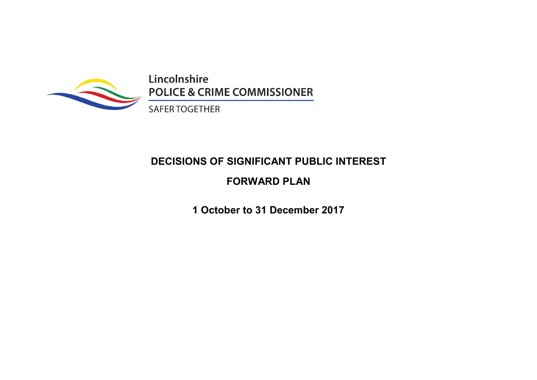

Lincolnshire **POLICE & CRIME COMMISSIONER** 

SAFER TOGETHER

# **DECISIONS OF SIGNIFICANT PUBLIC INTEREST**

## **FORWARD PLAN**

**1 October to 31 December 2017**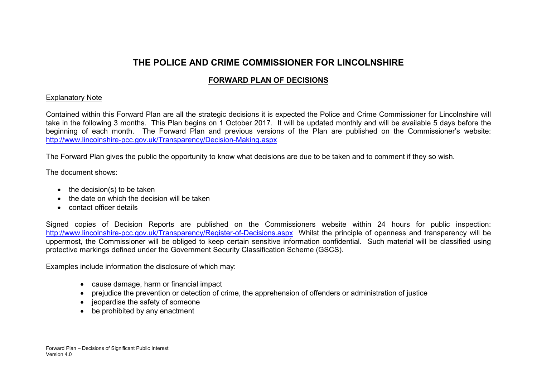### **THE POLICE AND CRIME COMMISSIONER FOR LINCOLNSHIRE**

### **FORWARD PLAN OF DECISIONS**

#### Explanatory Note

Contained within this Forward Plan are all the strategic decisions it is expected the Police and Crime Commissioner for Lincolnshire will take in the following 3 months. This Plan begins on 1 October 2017. It will be updated monthly and will be available 5 days before the beginning of each month. The Forward Plan and previous versions of the Plan are published on the Commissioner's website: http://www.lincolnshire-pcc.gov.uk/Transparency/Decision-Making.aspx

The Forward Plan gives the public the opportunity to know what decisions are due to be taken and to comment if they so wish.

The document shows:

- $\bullet$  the decision(s) to be taken
- the date on which the decision will be taken
- contact officer details

Signed copies of Decision Reports are published on the Commissioners website within 24 hours for public inspection: http://www.lincolnshire-pcc.gov.uk/Transparency/Register-of-Decisions.aspx Whilst the principle of openness and transparency will be uppermost, the Commissioner will be obliged to keep certain sensitive information confidential. Such material will be classified using protective markings defined under the Government Security Classification Scheme (GSCS).

Examples include information the disclosure of which may:

- cause damage, harm or financial impact
- prejudice the prevention or detection of crime, the apprehension of offenders or administration of justice
- jeopardise the safety of someone
- be prohibited by any enactment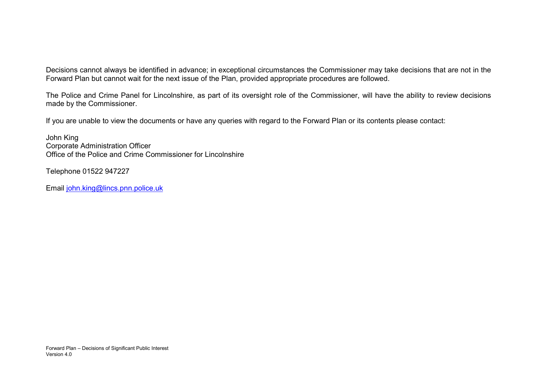Decisions cannot always be identified in advance; in exceptional circumstances the Commissioner may take decisions that are not in the Forward Plan but cannot wait for the next issue of the Plan, provided appropriate procedures are followed.

The Police and Crime Panel for Lincolnshire, as part of its oversight role of the Commissioner, will have the ability to review decisions made by the Commissioner.

If you are unable to view the documents or have any queries with regard to the Forward Plan or its contents please contact:

John King Corporate Administration Officer Office of the Police and Crime Commissioner for Lincolnshire

Telephone 01522 947227

Email john.king@lincs.pnn.police.uk